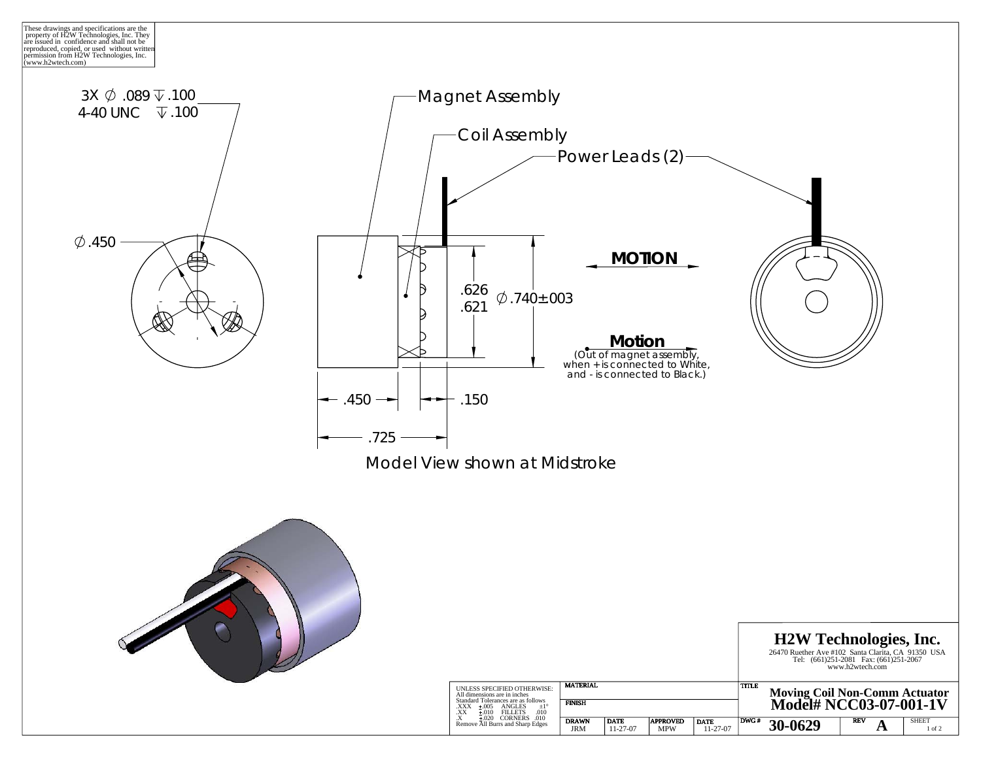